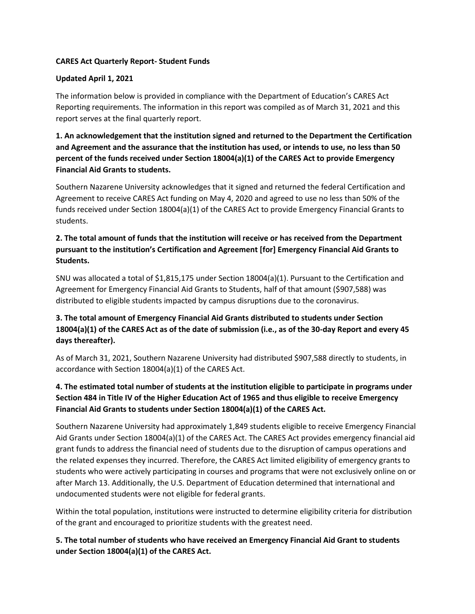#### **CARES Act Quarterly Report- Student Funds**

#### **Updated April 1, 2021**

The information below is provided in compliance with the Department of Education's CARES Act Reporting requirements. The information in this report was compiled as of March 31, 2021 and this report serves at the final quarterly report.

**1. An acknowledgement that the institution signed and returned to the Department the Certification and Agreement and the assurance that the institution has used, or intends to use, no less than 50 percent of the funds received under Section 18004(a)(1) of the CARES Act to provide Emergency Financial Aid Grants to students.**

Southern Nazarene University acknowledges that it signed and returned the federal Certification and Agreement to receive CARES Act funding on May 4, 2020 and agreed to use no less than 50% of the funds received under Section 18004(a)(1) of the CARES Act to provide Emergency Financial Grants to students.

# **2. The total amount of funds that the institution will receive or has received from the Department pursuant to the institution's Certification and Agreement [for] Emergency Financial Aid Grants to Students.**

SNU was allocated a total of \$1,815,175 under Section 18004(a)(1). Pursuant to the Certification and Agreement for Emergency Financial Aid Grants to Students, half of that amount (\$907,588) was distributed to eligible students impacted by campus disruptions due to the coronavirus.

# **3. The total amount of Emergency Financial Aid Grants distributed to students under Section 18004(a)(1) of the CARES Act as of the date of submission (i.e., as of the 30-day Report and every 45 days thereafter).**

As of March 31, 2021, Southern Nazarene University had distributed \$907,588 directly to students, in accordance with Section 18004(a)(1) of the CARES Act.

# **4. The estimated total number of students at the institution eligible to participate in programs under Section 484 in Title IV of the Higher Education Act of 1965 and thus eligible to receive Emergency Financial Aid Grants to students under Section 18004(a)(1) of the CARES Act.**

Southern Nazarene University had approximately 1,849 students eligible to receive Emergency Financial Aid Grants under Section 18004(a)(1) of the CARES Act. The CARES Act provides emergency financial aid grant funds to address the financial need of students due to the disruption of campus operations and the related expenses they incurred. Therefore, the CARES Act limited eligibility of emergency grants to students who were actively participating in courses and programs that were not exclusively online on or after March 13. Additionally, the U.S. Department of Education determined that international and undocumented students were not eligible for federal grants.

Within the total population, institutions were instructed to determine eligibility criteria for distribution of the grant and encouraged to prioritize students with the greatest need.

**5. The total number of students who have received an Emergency Financial Aid Grant to students under Section 18004(a)(1) of the CARES Act.**